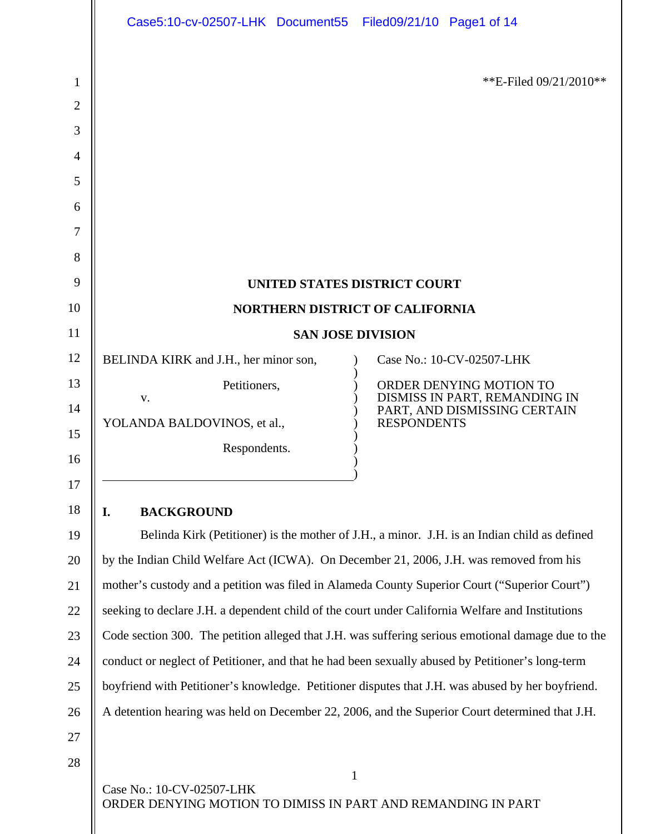|                | Case5:10-cv-02507-LHK Document55 Filed09/21/10 Page1 of 14                                         |                                                               |
|----------------|----------------------------------------------------------------------------------------------------|---------------------------------------------------------------|
| 1              |                                                                                                    | **E-Filed $09/21/2010**$                                      |
| $\overline{2}$ |                                                                                                    |                                                               |
| 3              |                                                                                                    |                                                               |
| 4              |                                                                                                    |                                                               |
| 5              |                                                                                                    |                                                               |
| 6              |                                                                                                    |                                                               |
| 7              |                                                                                                    |                                                               |
| 8              |                                                                                                    |                                                               |
| 9<br>10        | UNITED STATES DISTRICT COURT                                                                       |                                                               |
| 11             | <b>NORTHERN DISTRICT OF CALIFORNIA</b><br><b>SAN JOSE DIVISION</b>                                 |                                                               |
| 12             | BELINDA KIRK and J.H., her minor son,                                                              | Case No.: 10-CV-02507-LHK                                     |
| 13             | Petitioners,                                                                                       | ORDER DENYING MOTION TO                                       |
| 14             | V.                                                                                                 | DISMISS IN PART, REMANDING IN<br>PART, AND DISMISSING CERTAIN |
| 15             | YOLANDA BALDOVINOS, et al.,                                                                        | <b>RESPONDENTS</b>                                            |
| 16             | Respondents.                                                                                       |                                                               |
| 17             |                                                                                                    |                                                               |
| 18             | I.<br><b>BACKGROUND</b>                                                                            |                                                               |
| 19             | Belinda Kirk (Petitioner) is the mother of J.H., a minor. J.H. is an Indian child as defined       |                                                               |
| 20             | by the Indian Child Welfare Act (ICWA). On December 21, 2006, J.H. was removed from his            |                                                               |
| 21             | mother's custody and a petition was filed in Alameda County Superior Court ("Superior Court")      |                                                               |
| 22             | seeking to declare J.H. a dependent child of the court under California Welfare and Institutions   |                                                               |
| 23             | Code section 300. The petition alleged that J.H. was suffering serious emotional damage due to the |                                                               |
| 24             | conduct or neglect of Petitioner, and that he had been sexually abused by Petitioner's long-term   |                                                               |
| 25             | boyfriend with Petitioner's knowledge. Petitioner disputes that J.H. was abused by her boyfriend.  |                                                               |
| 26             | A detention hearing was held on December 22, 2006, and the Superior Court determined that J.H.     |                                                               |
| 27             |                                                                                                    |                                                               |
| 28             | Case No.: 10-CV-02507-LHK                                                                          | $\mathbf{1}$                                                  |
|                | ORDER DENYING MOTION TO DIMISS IN PART AND REMANDING IN PART                                       |                                                               |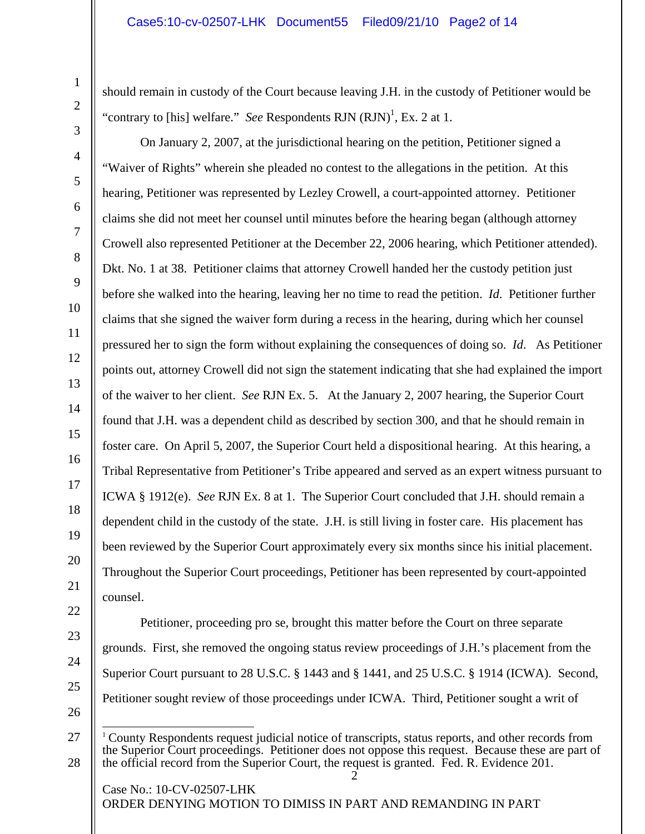should remain in custody of the Court because leaving J.H. in the custody of Petitioner would be "contrary to [his] welfare." *See* Respondents RJN  $(RJN)^1$ , Ex. 2 at 1.

On January 2, 2007, at the jurisdictional hearing on the petition, Petitioner signed a "Waiver of Rights" wherein she pleaded no contest to the allegations in the petition. At this hearing, Petitioner was represented by Lezley Crowell, a court-appointed attorney. Petitioner claims she did not meet her counsel until minutes before the hearing began (although attorney Crowell also represented Petitioner at the December 22, 2006 hearing, which Petitioner attended). Dkt. No. 1 at 38. Petitioner claims that attorney Crowell handed her the custody petition just before she walked into the hearing, leaving her no time to read the petition. *Id*. Petitioner further claims that she signed the waiver form during a recess in the hearing, during which her counsel pressured her to sign the form without explaining the consequences of doing so. *Id*. As Petitioner points out, attorney Crowell did not sign the statement indicating that she had explained the import of the waiver to her client. *See* RJN Ex. 5. At the January 2, 2007 hearing, the Superior Court found that J.H. was a dependent child as described by section 300, and that he should remain in foster care. On April 5, 2007, the Superior Court held a dispositional hearing. At this hearing, a Tribal Representative from Petitioner's Tribe appeared and served as an expert witness pursuant to ICWA § 1912(e). *See* RJN Ex. 8 at 1. The Superior Court concluded that J.H. should remain a dependent child in the custody of the state. J.H. is still living in foster care. His placement has been reviewed by the Superior Court approximately every six months since his initial placement. Throughout the Superior Court proceedings, Petitioner has been represented by court-appointed counsel.

1

2

3

4

5

6

7

8

9

Petitioner, proceeding pro se, brought this matter before the Court on three separate grounds. First, she removed the ongoing status review proceedings of J.H.'s placement from the Superior Court pursuant to 28 U.S.C. § 1443 and § 1441, and 25 U.S.C. § 1914 (ICWA). Second, Petitioner sought review of those proceedings under ICWA. Third, Petitioner sought a writ of

<sup>2</sup>   $\overline{a}$ <sup>1</sup> County Respondents request judicial notice of transcripts, status reports, and other records from the Superior Court proceedings. Petitioner does not oppose this request. Because these are part of the official record from the Superior Court, the request is granted. Fed. R. Evidence 201.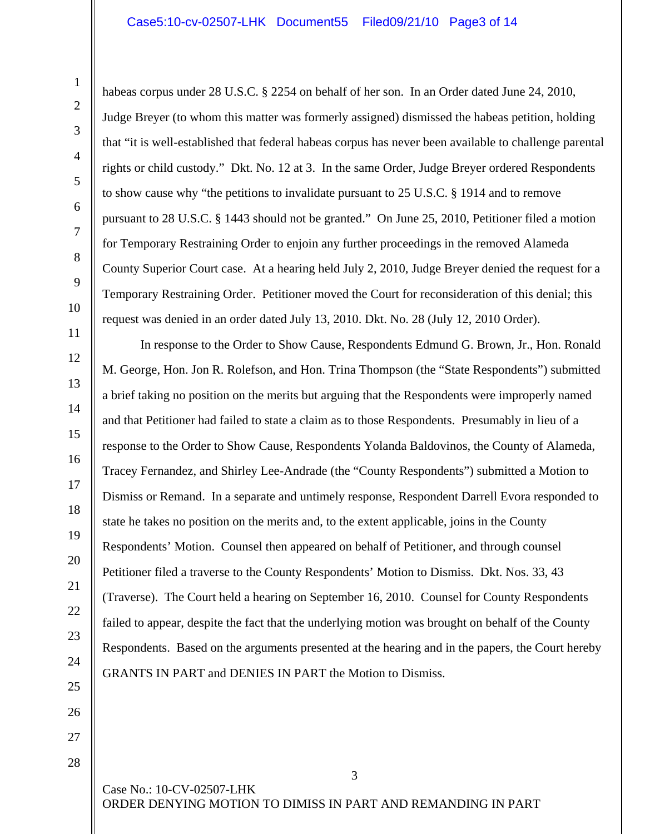habeas corpus under 28 U.S.C. § 2254 on behalf of her son. In an Order dated June 24, 2010, Judge Breyer (to whom this matter was formerly assigned) dismissed the habeas petition, holding that "it is well-established that federal habeas corpus has never been available to challenge parental rights or child custody." Dkt. No. 12 at 3. In the same Order, Judge Breyer ordered Respondents to show cause why "the petitions to invalidate pursuant to 25 U.S.C. § 1914 and to remove pursuant to 28 U.S.C. § 1443 should not be granted." On June 25, 2010, Petitioner filed a motion for Temporary Restraining Order to enjoin any further proceedings in the removed Alameda County Superior Court case. At a hearing held July 2, 2010, Judge Breyer denied the request for a Temporary Restraining Order. Petitioner moved the Court for reconsideration of this denial; this request was denied in an order dated July 13, 2010. Dkt. No. 28 (July 12, 2010 Order).

In response to the Order to Show Cause, Respondents Edmund G. Brown, Jr., Hon. Ronald M. George, Hon. Jon R. Rolefson, and Hon. Trina Thompson (the "State Respondents") submitted a brief taking no position on the merits but arguing that the Respondents were improperly named and that Petitioner had failed to state a claim as to those Respondents. Presumably in lieu of a response to the Order to Show Cause, Respondents Yolanda Baldovinos, the County of Alameda, Tracey Fernandez, and Shirley Lee-Andrade (the "County Respondents") submitted a Motion to Dismiss or Remand. In a separate and untimely response, Respondent Darrell Evora responded to state he takes no position on the merits and, to the extent applicable, joins in the County Respondents' Motion. Counsel then appeared on behalf of Petitioner, and through counsel Petitioner filed a traverse to the County Respondents' Motion to Dismiss. Dkt. Nos. 33, 43 (Traverse). The Court held a hearing on September 16, 2010. Counsel for County Respondents failed to appear, despite the fact that the underlying motion was brought on behalf of the County Respondents. Based on the arguments presented at the hearing and in the papers, the Court hereby GRANTS IN PART and DENIES IN PART the Motion to Dismiss.

27 28

1

2

3

4

5

6

7

8

9

10

11

12

13

14

15

16

17

18

19

20

21

22

23

24

25

26

Case No.: 10-CV-02507-LHK ORDER DENYING MOTION TO DIMISS IN PART AND REMANDING IN PART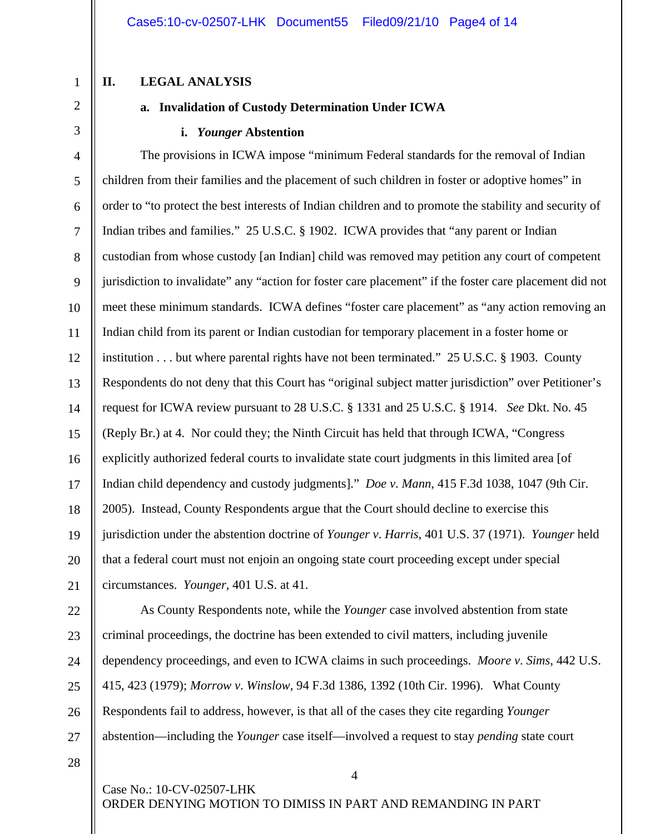#### **II. LEGAL ANALYSIS**

1

2

3

#### **a. Invalidation of Custody Determination Under ICWA**

#### **i.** *Younger* **Abstention**

4 5 6 7 8 9 10 11 12 13 14 15 16 17 18 19 20 21 The provisions in ICWA impose "minimum Federal standards for the removal of Indian children from their families and the placement of such children in foster or adoptive homes" in order to "to protect the best interests of Indian children and to promote the stability and security of Indian tribes and families." 25 U.S.C. § 1902. ICWA provides that "any parent or Indian custodian from whose custody [an Indian] child was removed may petition any court of competent jurisdiction to invalidate" any "action for foster care placement" if the foster care placement did not meet these minimum standards. ICWA defines "foster care placement" as "any action removing an Indian child from its parent or Indian custodian for temporary placement in a foster home or institution . . . but where parental rights have not been terminated." 25 U.S.C. § 1903. County Respondents do not deny that this Court has "original subject matter jurisdiction" over Petitioner's request for ICWA review pursuant to 28 U.S.C. § 1331 and 25 U.S.C. § 1914. *See* Dkt. No. 45 (Reply Br.) at 4. Nor could they; the Ninth Circuit has held that through ICWA, "Congress explicitly authorized federal courts to invalidate state court judgments in this limited area [of Indian child dependency and custody judgments]." *Doe v*. *Mann*, 415 F.3d 1038, 1047 (9th Cir. 2005). Instead, County Respondents argue that the Court should decline to exercise this jurisdiction under the abstention doctrine of *Younger v*. *Harris*, 401 U.S. 37 (1971). *Younger* held that a federal court must not enjoin an ongoing state court proceeding except under special circumstances. *Younger*, 401 U.S. at 41.

23 24 25

26

27

22

As County Respondents note, while the *Younger* case involved abstention from state criminal proceedings, the doctrine has been extended to civil matters, including juvenile dependency proceedings, and even to ICWA claims in such proceedings. *Moore v*. *Sims*, 442 U.S. 415, 423 (1979); *Morrow v*. *Winslow*, 94 F.3d 1386, 1392 (10th Cir. 1996). What County Respondents fail to address, however, is that all of the cases they cite regarding *Younger* abstention—including the *Younger* case itself—involved a request to stay *pending* state court

4

28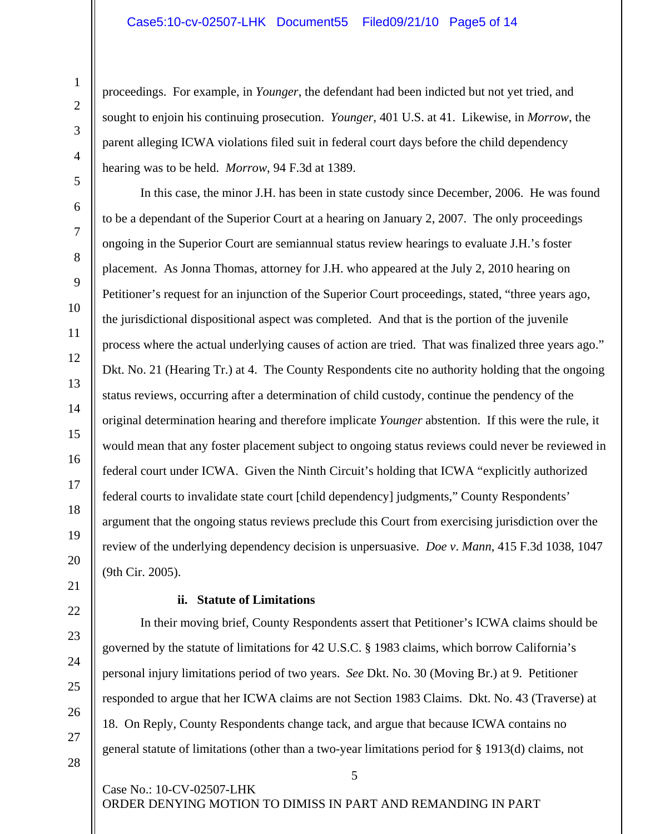proceedings. For example, in *Younger*, the defendant had been indicted but not yet tried, and sought to enjoin his continuing prosecution. *Younger*, 401 U.S. at 41. Likewise, in *Morrow*, the parent alleging ICWA violations filed suit in federal court days before the child dependency hearing was to be held. *Morrow*, 94 F.3d at 1389.

In this case, the minor J.H. has been in state custody since December, 2006. He was found to be a dependant of the Superior Court at a hearing on January 2, 2007. The only proceedings ongoing in the Superior Court are semiannual status review hearings to evaluate J.H.'s foster placement. As Jonna Thomas, attorney for J.H. who appeared at the July 2, 2010 hearing on Petitioner's request for an injunction of the Superior Court proceedings, stated, "three years ago, the jurisdictional dispositional aspect was completed. And that is the portion of the juvenile process where the actual underlying causes of action are tried. That was finalized three years ago." Dkt. No. 21 (Hearing Tr.) at 4. The County Respondents cite no authority holding that the ongoing status reviews, occurring after a determination of child custody, continue the pendency of the original determination hearing and therefore implicate *Younger* abstention. If this were the rule, it would mean that any foster placement subject to ongoing status reviews could never be reviewed in federal court under ICWA. Given the Ninth Circuit's holding that ICWA "explicitly authorized federal courts to invalidate state court [child dependency] judgments," County Respondents' argument that the ongoing status reviews preclude this Court from exercising jurisdiction over the review of the underlying dependency decision is unpersuasive. *Doe v*. *Mann*, 415 F.3d 1038, 1047 (9th Cir. 2005).

## **ii. Statute of Limitations**

In their moving brief, County Respondents assert that Petitioner's ICWA claims should be governed by the statute of limitations for 42 U.S.C. § 1983 claims, which borrow California's personal injury limitations period of two years. *See* Dkt. No. 30 (Moving Br.) at 9. Petitioner responded to argue that her ICWA claims are not Section 1983 Claims. Dkt. No. 43 (Traverse) at 18. On Reply, County Respondents change tack, and argue that because ICWA contains no general statute of limitations (other than a two-year limitations period for § 1913(d) claims, not

5

Case No.: 10-CV-02507-LHK ORDER DENYING MOTION TO DIMISS IN PART AND REMANDING IN PART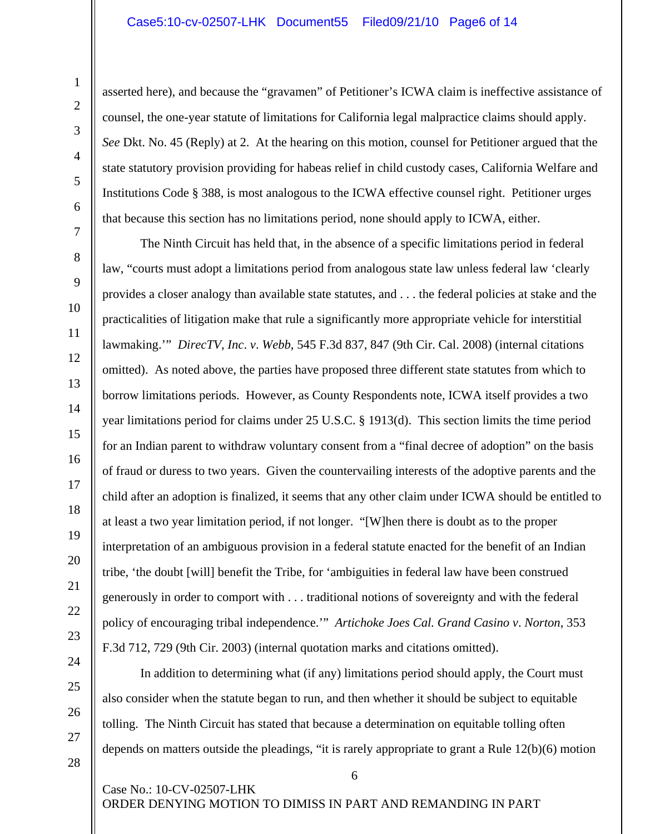asserted here), and because the "gravamen" of Petitioner's ICWA claim is ineffective assistance of counsel, the one-year statute of limitations for California legal malpractice claims should apply. *See* Dkt. No. 45 (Reply) at 2. At the hearing on this motion, counsel for Petitioner argued that the state statutory provision providing for habeas relief in child custody cases, California Welfare and Institutions Code § 388, is most analogous to the ICWA effective counsel right. Petitioner urges that because this section has no limitations period, none should apply to ICWA, either.

The Ninth Circuit has held that, in the absence of a specific limitations period in federal law, "courts must adopt a limitations period from analogous state law unless federal law 'clearly provides a closer analogy than available state statutes, and . . . the federal policies at stake and the practicalities of litigation make that rule a significantly more appropriate vehicle for interstitial lawmaking.'" *DirecTV*, *Inc*. *v*. *Webb*, 545 F.3d 837, 847 (9th Cir. Cal. 2008) (internal citations omitted). As noted above, the parties have proposed three different state statutes from which to borrow limitations periods. However, as County Respondents note, ICWA itself provides a two year limitations period for claims under 25 U.S.C. § 1913(d). This section limits the time period for an Indian parent to withdraw voluntary consent from a "final decree of adoption" on the basis of fraud or duress to two years. Given the countervailing interests of the adoptive parents and the child after an adoption is finalized, it seems that any other claim under ICWA should be entitled to at least a two year limitation period, if not longer. "[W]hen there is doubt as to the proper interpretation of an ambiguous provision in a federal statute enacted for the benefit of an Indian tribe, 'the doubt [will] benefit the Tribe, for 'ambiguities in federal law have been construed generously in order to comport with . . . traditional notions of sovereignty and with the federal policy of encouraging tribal independence.'" *Artichoke Joes Cal. Grand Casino v*. *Norton*, 353 F.3d 712, 729 (9th Cir. 2003) (internal quotation marks and citations omitted).

In addition to determining what (if any) limitations period should apply, the Court must also consider when the statute began to run, and then whether it should be subject to equitable tolling. The Ninth Circuit has stated that because a determination on equitable tolling often depends on matters outside the pleadings, "it is rarely appropriate to grant a Rule 12(b)(6) motion

6

Case No.: 10-CV-02507-LHK ORDER DENYING MOTION TO DIMISS IN PART AND REMANDING IN PART

1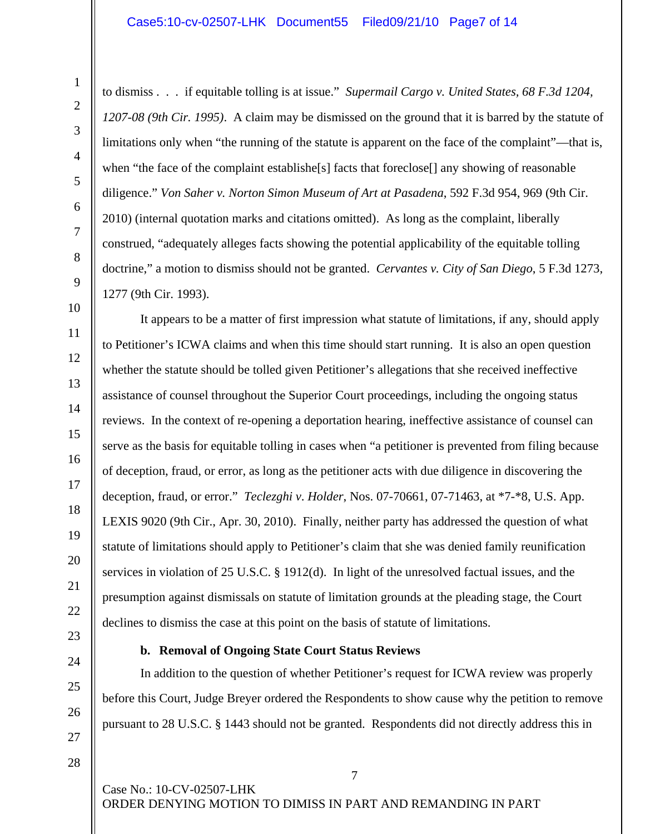to dismiss . . . if equitable tolling is at issue." *Supermail Cargo v. United States, 68 F.3d 1204, 1207-08 (9th Cir. 1995)*. A claim may be dismissed on the ground that it is barred by the statute of limitations only when "the running of the statute is apparent on the face of the complaint"—that is, when "the face of the complaint establishe[s] facts that foreclose[] any showing of reasonable diligence." *Von Saher v. Norton Simon Museum of Art at Pasadena*, 592 F.3d 954, 969 (9th Cir. 2010) (internal quotation marks and citations omitted). As long as the complaint, liberally construed, "adequately alleges facts showing the potential applicability of the equitable tolling doctrine," a motion to dismiss should not be granted. *Cervantes v. City of San Diego*, 5 F.3d 1273, 1277 (9th Cir. 1993).

It appears to be a matter of first impression what statute of limitations, if any, should apply to Petitioner's ICWA claims and when this time should start running. It is also an open question whether the statute should be tolled given Petitioner's allegations that she received ineffective assistance of counsel throughout the Superior Court proceedings, including the ongoing status reviews. In the context of re-opening a deportation hearing, ineffective assistance of counsel can serve as the basis for equitable tolling in cases when "a petitioner is prevented from filing because of deception, fraud, or error, as long as the petitioner acts with due diligence in discovering the deception, fraud, or error." *Teclezghi v*. *Holder*, Nos. 07-70661, 07-71463, at \*7-\*8, U.S. App. LEXIS 9020 (9th Cir., Apr. 30, 2010). Finally, neither party has addressed the question of what statute of limitations should apply to Petitioner's claim that she was denied family reunification services in violation of 25 U.S.C. § 1912(d). In light of the unresolved factual issues, and the presumption against dismissals on statute of limitation grounds at the pleading stage, the Court declines to dismiss the case at this point on the basis of statute of limitations.

## **b. Removal of Ongoing State Court Status Reviews**

In addition to the question of whether Petitioner's request for ICWA review was properly before this Court, Judge Breyer ordered the Respondents to show cause why the petition to remove pursuant to 28 U.S.C. § 1443 should not be granted. Respondents did not directly address this in

7

Case No.: 10-CV-02507-LHK ORDER DENYING MOTION TO DIMISS IN PART AND REMANDING IN PART

1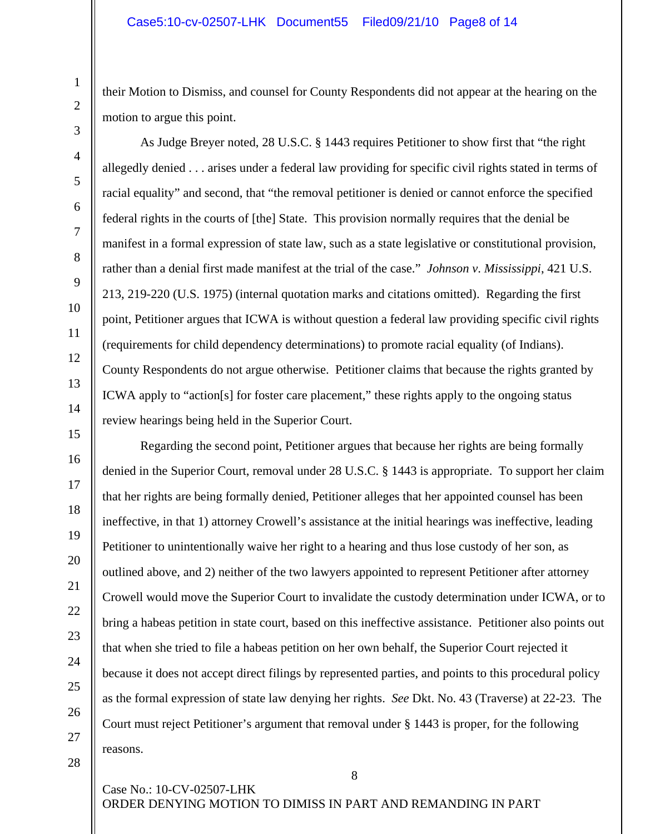their Motion to Dismiss, and counsel for County Respondents did not appear at the hearing on the motion to argue this point.

As Judge Breyer noted, 28 U.S.C. § 1443 requires Petitioner to show first that "the right allegedly denied . . . arises under a federal law providing for specific civil rights stated in terms of racial equality" and second, that "the removal petitioner is denied or cannot enforce the specified federal rights in the courts of [the] State. This provision normally requires that the denial be manifest in a formal expression of state law, such as a state legislative or constitutional provision, rather than a denial first made manifest at the trial of the case." *Johnson v*. *Mississippi*, 421 U.S. 213, 219-220 (U.S. 1975) (internal quotation marks and citations omitted). Regarding the first point, Petitioner argues that ICWA is without question a federal law providing specific civil rights (requirements for child dependency determinations) to promote racial equality (of Indians). County Respondents do not argue otherwise. Petitioner claims that because the rights granted by ICWA apply to "action[s] for foster care placement," these rights apply to the ongoing status review hearings being held in the Superior Court.

Regarding the second point, Petitioner argues that because her rights are being formally denied in the Superior Court, removal under 28 U.S.C. § 1443 is appropriate. To support her claim that her rights are being formally denied, Petitioner alleges that her appointed counsel has been ineffective, in that 1) attorney Crowell's assistance at the initial hearings was ineffective, leading Petitioner to unintentionally waive her right to a hearing and thus lose custody of her son, as outlined above, and 2) neither of the two lawyers appointed to represent Petitioner after attorney Crowell would move the Superior Court to invalidate the custody determination under ICWA, or to bring a habeas petition in state court, based on this ineffective assistance. Petitioner also points out that when she tried to file a habeas petition on her own behalf, the Superior Court rejected it because it does not accept direct filings by represented parties, and points to this procedural policy as the formal expression of state law denying her rights. *See* Dkt. No. 43 (Traverse) at 22-23. The Court must reject Petitioner's argument that removal under § 1443 is proper, for the following reasons.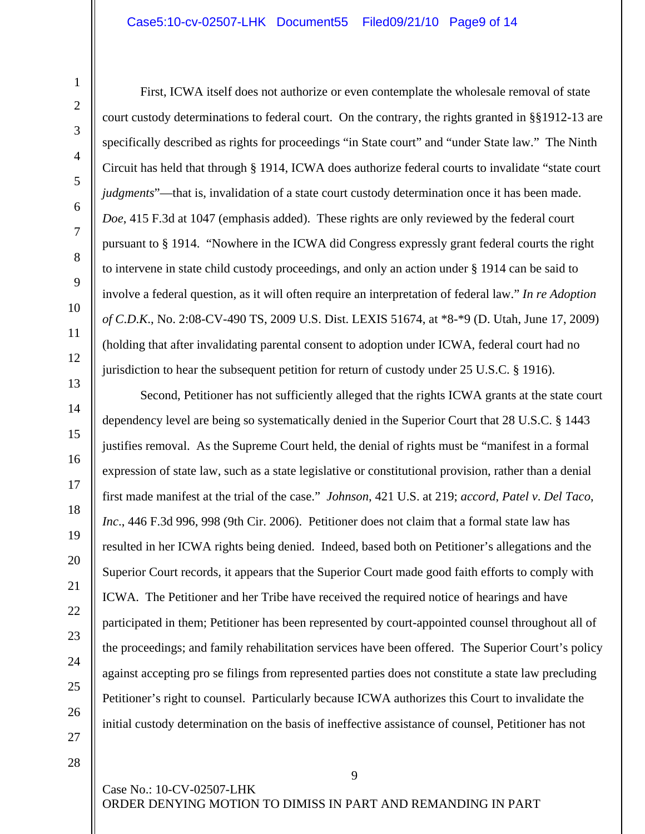## Case5:10-cv-02507-LHK Document55 Filed09/21/10 Page9 of 14

First, ICWA itself does not authorize or even contemplate the wholesale removal of state court custody determinations to federal court. On the contrary, the rights granted in §§1912-13 are specifically described as rights for proceedings "in State court" and "under State law." The Ninth Circuit has held that through § 1914, ICWA does authorize federal courts to invalidate "state court *judgments*"—that is, invalidation of a state court custody determination once it has been made. *Doe*, 415 F.3d at 1047 (emphasis added). These rights are only reviewed by the federal court pursuant to § 1914. "Nowhere in the ICWA did Congress expressly grant federal courts the right to intervene in state child custody proceedings, and only an action under § 1914 can be said to involve a federal question, as it will often require an interpretation of federal law." *In re Adoption of C*.*D*.*K*., No. 2:08-CV-490 TS, 2009 U.S. Dist. LEXIS 51674, at \*8-\*9 (D. Utah, June 17, 2009) (holding that after invalidating parental consent to adoption under ICWA, federal court had no jurisdiction to hear the subsequent petition for return of custody under 25 U.S.C. § 1916).

Second, Petitioner has not sufficiently alleged that the rights ICWA grants at the state court dependency level are being so systematically denied in the Superior Court that 28 U.S.C. § 1443 justifies removal. As the Supreme Court held, the denial of rights must be "manifest in a formal expression of state law, such as a state legislative or constitutional provision, rather than a denial first made manifest at the trial of the case." *Johnson*, 421 U.S. at 219; *accord*, *Patel v*. *Del Taco*, *Inc*., 446 F.3d 996, 998 (9th Cir. 2006). Petitioner does not claim that a formal state law has resulted in her ICWA rights being denied. Indeed, based both on Petitioner's allegations and the Superior Court records, it appears that the Superior Court made good faith efforts to comply with ICWA. The Petitioner and her Tribe have received the required notice of hearings and have participated in them; Petitioner has been represented by court-appointed counsel throughout all of the proceedings; and family rehabilitation services have been offered. The Superior Court's policy against accepting pro se filings from represented parties does not constitute a state law precluding Petitioner's right to counsel. Particularly because ICWA authorizes this Court to invalidate the initial custody determination on the basis of ineffective assistance of counsel, Petitioner has not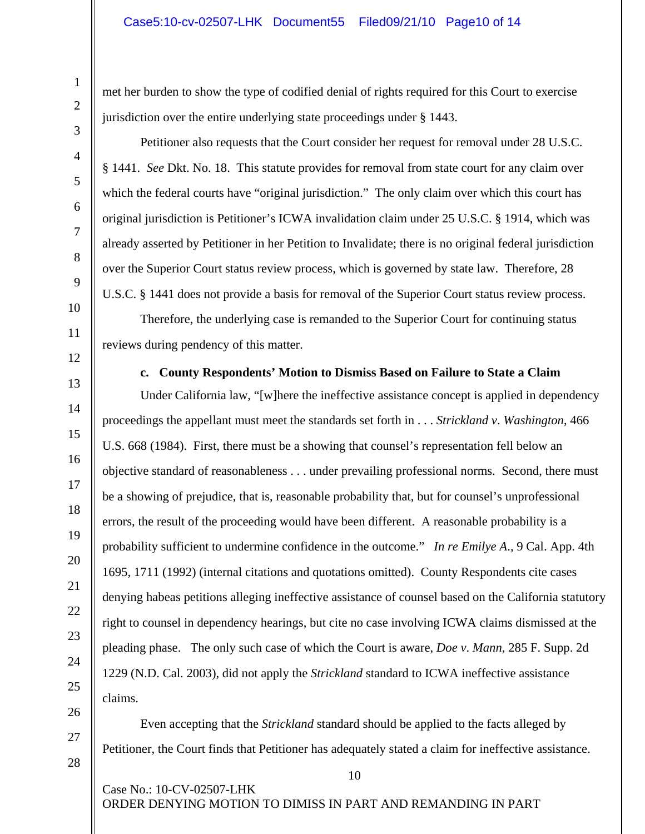met her burden to show the type of codified denial of rights required for this Court to exercise jurisdiction over the entire underlying state proceedings under § 1443.

Petitioner also requests that the Court consider her request for removal under 28 U.S.C. § 1441. *See* Dkt. No. 18. This statute provides for removal from state court for any claim over which the federal courts have "original jurisdiction." The only claim over which this court has original jurisdiction is Petitioner's ICWA invalidation claim under 25 U.S.C. § 1914, which was already asserted by Petitioner in her Petition to Invalidate; there is no original federal jurisdiction over the Superior Court status review process, which is governed by state law. Therefore, 28 U.S.C. § 1441 does not provide a basis for removal of the Superior Court status review process.

Therefore, the underlying case is remanded to the Superior Court for continuing status reviews during pendency of this matter.

**c. County Respondents' Motion to Dismiss Based on Failure to State a Claim** 

Under California law, "[w]here the ineffective assistance concept is applied in dependency proceedings the appellant must meet the standards set forth in . . . *Strickland v*. *Washington*, 466 U.S. 668 (1984). First, there must be a showing that counsel's representation fell below an objective standard of reasonableness . . . under prevailing professional norms. Second, there must be a showing of prejudice, that is, reasonable probability that, but for counsel's unprofessional errors, the result of the proceeding would have been different. A reasonable probability is a probability sufficient to undermine confidence in the outcome." *In re Emilye A*., 9 Cal. App. 4th 1695, 1711 (1992) (internal citations and quotations omitted). County Respondents cite cases denying habeas petitions alleging ineffective assistance of counsel based on the California statutory right to counsel in dependency hearings, but cite no case involving ICWA claims dismissed at the pleading phase. The only such case of which the Court is aware, *Doe v*. *Mann*, 285 F. Supp. 2d 1229 (N.D. Cal. 2003), did not apply the *Strickland* standard to ICWA ineffective assistance claims.

Even accepting that the *Strickland* standard should be applied to the facts alleged by Petitioner, the Court finds that Petitioner has adequately stated a claim for ineffective assistance.

10

Case No.: 10-CV-02507-LHK ORDER DENYING MOTION TO DIMISS IN PART AND REMANDING IN PART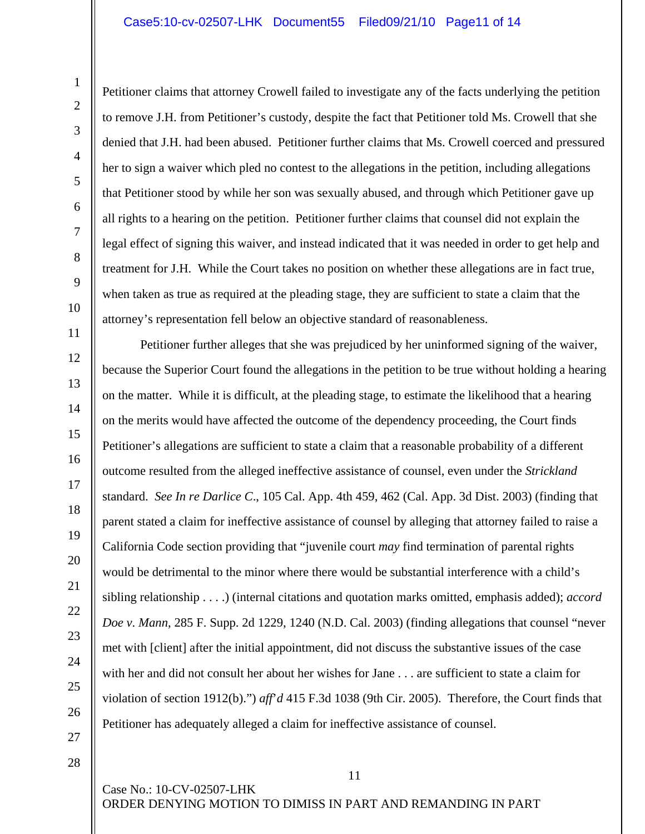Petitioner claims that attorney Crowell failed to investigate any of the facts underlying the petition to remove J.H. from Petitioner's custody, despite the fact that Petitioner told Ms. Crowell that she denied that J.H. had been abused. Petitioner further claims that Ms. Crowell coerced and pressured her to sign a waiver which pled no contest to the allegations in the petition, including allegations that Petitioner stood by while her son was sexually abused, and through which Petitioner gave up all rights to a hearing on the petition. Petitioner further claims that counsel did not explain the legal effect of signing this waiver, and instead indicated that it was needed in order to get help and treatment for J.H. While the Court takes no position on whether these allegations are in fact true, when taken as true as required at the pleading stage, they are sufficient to state a claim that the attorney's representation fell below an objective standard of reasonableness.

Petitioner further alleges that she was prejudiced by her uninformed signing of the waiver, because the Superior Court found the allegations in the petition to be true without holding a hearing on the matter. While it is difficult, at the pleading stage, to estimate the likelihood that a hearing on the merits would have affected the outcome of the dependency proceeding, the Court finds Petitioner's allegations are sufficient to state a claim that a reasonable probability of a different outcome resulted from the alleged ineffective assistance of counsel, even under the *Strickland* standard. *See In re Darlice C*., 105 Cal. App. 4th 459, 462 (Cal. App. 3d Dist. 2003) (finding that parent stated a claim for ineffective assistance of counsel by alleging that attorney failed to raise a California Code section providing that "juvenile court *may* find termination of parental rights would be detrimental to the minor where there would be substantial interference with a child's sibling relationship . . . .) (internal citations and quotation marks omitted, emphasis added); *accord Doe v*. *Mann*, 285 F. Supp. 2d 1229, 1240 (N.D. Cal. 2003) (finding allegations that counsel "never met with [client] after the initial appointment, did not discuss the substantive issues of the case with her and did not consult her about her wishes for Jane . . . are sufficient to state a claim for violation of section 1912(b).") *aff*'*d* 415 F.3d 1038 (9th Cir. 2005). Therefore, the Court finds that Petitioner has adequately alleged a claim for ineffective assistance of counsel.

27 28

1

2

3

4

5

6

7

8

9

10

11

12

13

14

15

16

17

18

19

20

21

22

23

24

25

26

Case No.: 10-CV-02507-LHK ORDER DENYING MOTION TO DIMISS IN PART AND REMANDING IN PART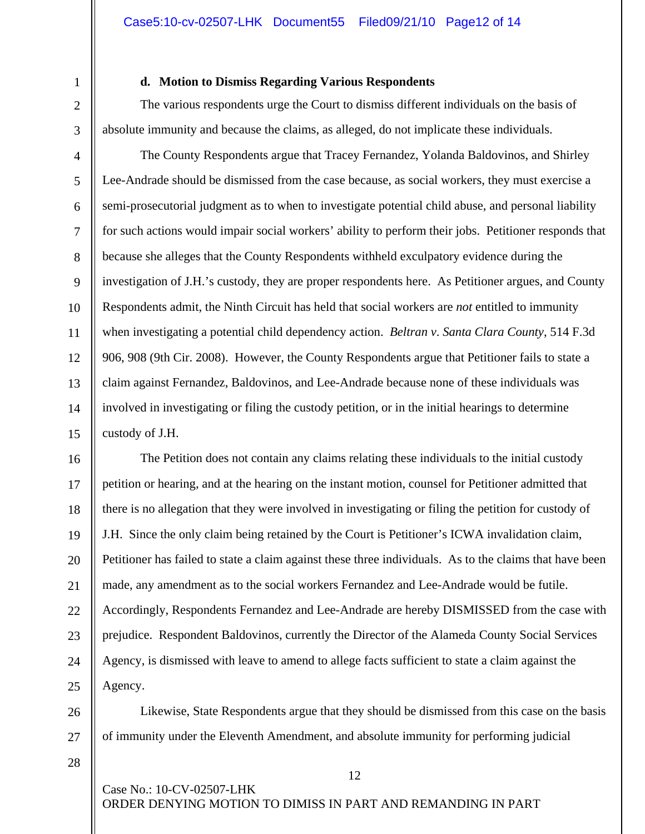1

2

3

## **d. Motion to Dismiss Regarding Various Respondents**

The various respondents urge the Court to dismiss different individuals on the basis of absolute immunity and because the claims, as alleged, do not implicate these individuals.

4 5 6 7 8 9 10 11 12 13 14 15 The County Respondents argue that Tracey Fernandez, Yolanda Baldovinos, and Shirley Lee-Andrade should be dismissed from the case because, as social workers, they must exercise a semi-prosecutorial judgment as to when to investigate potential child abuse, and personal liability for such actions would impair social workers' ability to perform their jobs. Petitioner responds that because she alleges that the County Respondents withheld exculpatory evidence during the investigation of J.H.'s custody, they are proper respondents here. As Petitioner argues, and County Respondents admit, the Ninth Circuit has held that social workers are *not* entitled to immunity when investigating a potential child dependency action. *Beltran v*. *Santa Clara County*, 514 F.3d 906, 908 (9th Cir. 2008). However, the County Respondents argue that Petitioner fails to state a claim against Fernandez, Baldovinos, and Lee-Andrade because none of these individuals was involved in investigating or filing the custody petition, or in the initial hearings to determine custody of J.H.

16 17 18 19 20 21 22 23 24 25 The Petition does not contain any claims relating these individuals to the initial custody petition or hearing, and at the hearing on the instant motion, counsel for Petitioner admitted that there is no allegation that they were involved in investigating or filing the petition for custody of J.H. Since the only claim being retained by the Court is Petitioner's ICWA invalidation claim, Petitioner has failed to state a claim against these three individuals. As to the claims that have been made, any amendment as to the social workers Fernandez and Lee-Andrade would be futile. Accordingly, Respondents Fernandez and Lee-Andrade are hereby DISMISSED from the case with prejudice. Respondent Baldovinos, currently the Director of the Alameda County Social Services Agency, is dismissed with leave to amend to allege facts sufficient to state a claim against the Agency.

Likewise, State Respondents argue that they should be dismissed from this case on the basis of immunity under the Eleventh Amendment, and absolute immunity for performing judicial

12

28

26

27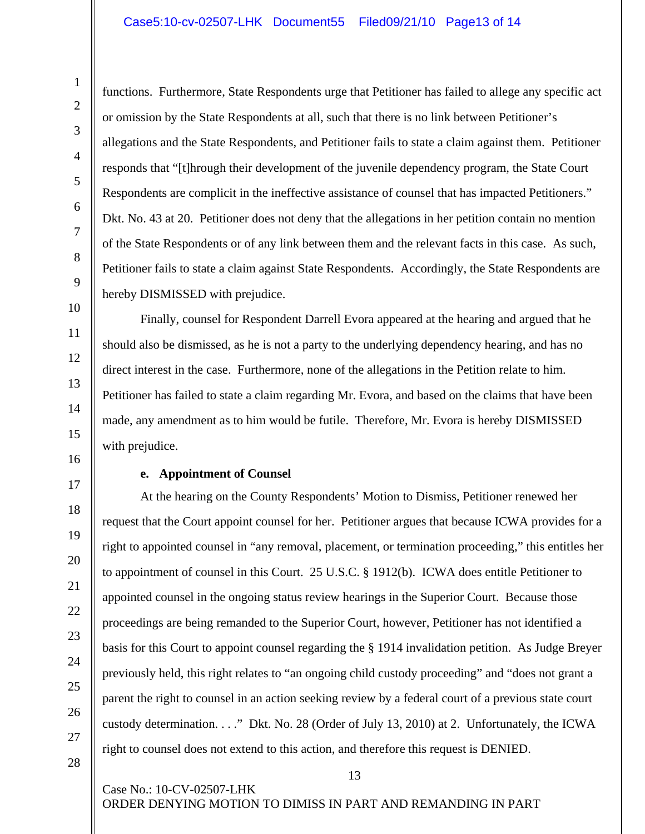functions. Furthermore, State Respondents urge that Petitioner has failed to allege any specific act or omission by the State Respondents at all, such that there is no link between Petitioner's allegations and the State Respondents, and Petitioner fails to state a claim against them. Petitioner responds that "[t]hrough their development of the juvenile dependency program, the State Court Respondents are complicit in the ineffective assistance of counsel that has impacted Petitioners." Dkt. No. 43 at 20. Petitioner does not deny that the allegations in her petition contain no mention of the State Respondents or of any link between them and the relevant facts in this case. As such, Petitioner fails to state a claim against State Respondents. Accordingly, the State Respondents are hereby DISMISSED with prejudice.

 Finally, counsel for Respondent Darrell Evora appeared at the hearing and argued that he should also be dismissed, as he is not a party to the underlying dependency hearing, and has no direct interest in the case. Furthermore, none of the allegations in the Petition relate to him. Petitioner has failed to state a claim regarding Mr. Evora, and based on the claims that have been made, any amendment as to him would be futile. Therefore, Mr. Evora is hereby DISMISSED with prejudice.

#### **e. Appointment of Counsel**

Case No.: 10-CV-02507-LHK

At the hearing on the County Respondents' Motion to Dismiss, Petitioner renewed her request that the Court appoint counsel for her. Petitioner argues that because ICWA provides for a right to appointed counsel in "any removal, placement, or termination proceeding," this entitles her to appointment of counsel in this Court. 25 U.S.C. § 1912(b). ICWA does entitle Petitioner to appointed counsel in the ongoing status review hearings in the Superior Court. Because those proceedings are being remanded to the Superior Court, however, Petitioner has not identified a basis for this Court to appoint counsel regarding the § 1914 invalidation petition. As Judge Breyer previously held, this right relates to "an ongoing child custody proceeding" and "does not grant a parent the right to counsel in an action seeking review by a federal court of a previous state court custody determination. . . ." Dkt. No. 28 (Order of July 13, 2010) at 2. Unfortunately, the ICWA right to counsel does not extend to this action, and therefore this request is DENIED.

1

13

ORDER DENYING MOTION TO DIMISS IN PART AND REMANDING IN PART